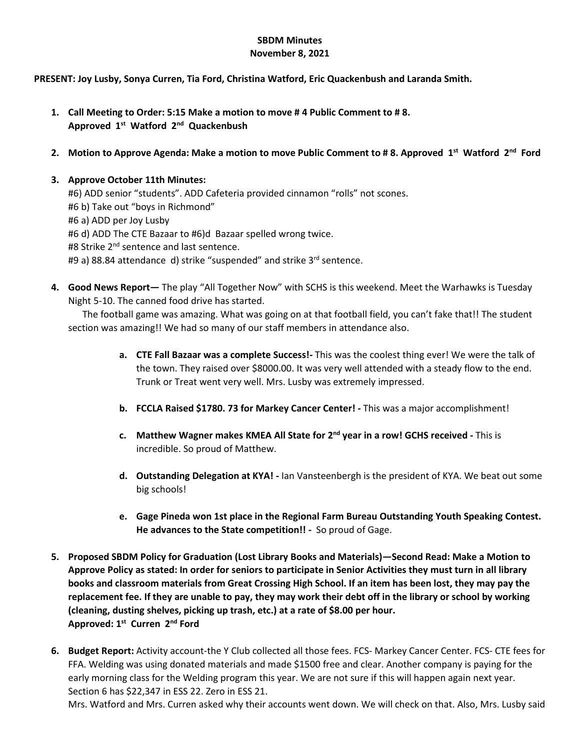# **SBDM Minutes**

### **November 8, 2021**

#### **PRESENT: Joy Lusby, Sonya Curren, Tia Ford, Christina Watford, Eric Quackenbush and Laranda Smith.**

- **1. Call Meeting to Order: 5:15 Make a motion to move # 4 Public Comment to # 8. Approved 1st Watford 2nd Quackenbush**
- **2.** Motion to Approve Agenda: Make a motion to move Public Comment to #8. Approved 1<sup>st</sup> Watford 2<sup>nd</sup> Ford

## **3. Approve October 11th Minutes:**

#6) ADD senior "students". ADD Cafeteria provided cinnamon "rolls" not scones. #6 b) Take out "boys in Richmond" #6 a) ADD per Joy Lusby #6 d) ADD The CTE Bazaar to #6)d Bazaar spelled wrong twice. #8 Strike 2<sup>nd</sup> sentence and last sentence. #9 a) 88.84 attendance d) strike "suspended" and strike 3<sup>rd</sup> sentence.

**4. Good News Report—** The play "All Together Now" with SCHS is this weekend. Meet the Warhawks is Tuesday Night 5-10. The canned food drive has started.

The football game was amazing. What was going on at that football field, you can't fake that!! The student section was amazing!! We had so many of our staff members in attendance also.

- **a. CTE Fall Bazaar was a complete Success!-** This was the coolest thing ever! We were the talk of the town. They raised over \$8000.00. It was very well attended with a steady flow to the end. Trunk or Treat went very well. Mrs. Lusby was extremely impressed.
- **b. FCCLA Raised \$1780. 73 for Markey Cancer Center! -** This was a major accomplishment!
- **c. Matthew Wagner makes KMEA All State for 2nd year in a row! GCHS received -** This is incredible. So proud of Matthew.
- **d. Outstanding Delegation at KYA! -** Ian Vansteenbergh is the president of KYA. We beat out some big schools!
- **e. Gage Pineda won 1st place in the Regional Farm Bureau Outstanding Youth Speaking Contest. He advances to the State competition!! -** So proud of Gage.
- **5. Proposed SBDM Policy for Graduation (Lost Library Books and Materials)—Second Read: Make a Motion to Approve Policy as stated: In order for seniors to participate in Senior Activities they must turn in all library books and classroom materials from Great Crossing High School. If an item has been lost, they may pay the replacement fee. If they are unable to pay, they may work their debt off in the library or school by working (cleaning, dusting shelves, picking up trash, etc.) at a rate of \$8.00 per hour. Approved: 1st Curren 2nd Ford**
- **6. Budget Report:** Activity account-the Y Club collected all those fees. FCS- Markey Cancer Center. FCS- CTE fees for FFA. Welding was using donated materials and made \$1500 free and clear. Another company is paying for the early morning class for the Welding program this year. We are not sure if this will happen again next year. Section 6 has \$22,347 in ESS 22. Zero in ESS 21.

Mrs. Watford and Mrs. Curren asked why their accounts went down. We will check on that. Also, Mrs. Lusby said